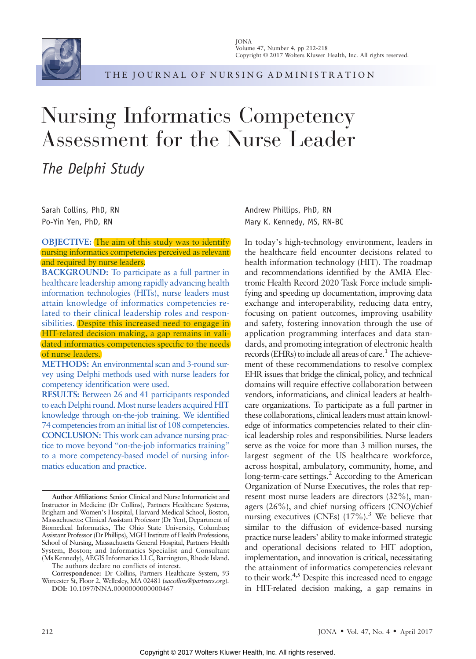

THE JOURNAL OF NURSING ADMINISTRATION

# Nursing Informatics Competency Assessment for the Nurse Leader

The Delphi Study

Sarah Collins, PhD, RN Po-Yin Yen, PhD, RN

#### OBJECTIVE: The aim of this study was to identify nursing informatics competencies perceived as relevant and required by nurse leaders.

BACKGROUND: To participate as a full partner in healthcare leadership among rapidly advancing health information technologies (HITs), nurse leaders must attain knowledge of informatics competencies related to their clinical leadership roles and responsibilities. Despite this increased need to engage in HIT-related decision making, a gap remains in validated informatics competencies specific to the needs of nurse leaders.

METHODS: An environmental scan and 3-round survey using Delphi methods used with nurse leaders for competency identification were used.

RESULTS: Between 26 and 41 participants responded to each Delphi round. Most nurse leaders acquired HIT knowledge through on-the-job training. We identified 74 competencies from an initial list of 108 competencies. CONCLUSION: This work can advance nursing practice to move beyond "on-the-job informatics training" to a more competency-based model of nursing informatics education and practice.

The authors declare no conflicts of interest.

Correspondence: Dr Collins, Partners Healthcare System, 93 Worcester St, Floor 2, Wellesley, MA 02481 (sacollins@partners.org). DOI: 10.1097/NNA.0000000000000467

Andrew Phillips, PhD, RN Mary K. Kennedy, MS, RN-BC

In today's high-technology environment, leaders in the healthcare field encounter decisions related to health information technology (HIT). The roadmap and recommendations identified by the AMIA Electronic Health Record 2020 Task Force include simplifying and speeding up documentation, improving data exchange and interoperability, reducing data entry, focusing on patient outcomes, improving usability and safety, fostering innovation through the use of application programming interfaces and data standards, and promoting integration of electronic health records (EHRs) to include all areas of care.<sup>1</sup> The achievement of these recommendations to resolve complex EHR issues that bridge the clinical, policy, and technical domains will require effective collaboration between vendors, informaticians, and clinical leaders at healthcare organizations. To participate as a full partner in these collaborations, clinical leaders must attain knowledge of informatics competencies related to their clinical leadership roles and responsibilities. Nurse leaders serve as the voice for more than 3 million nurses, the largest segment of the US healthcare workforce, across hospital, ambulatory, community, home, and long-term-care settings.<sup>2</sup> According to the American Organization of Nurse Executives, the roles that represent most nurse leaders are directors (32%), managers (26%), and chief nursing officers (CNO)/chief nursing executives (CNEs)  $(17\%)$ .<sup>3</sup> We believe that similar to the diffusion of evidence-based nursing practice nurse leaders' ability to make informed strategic and operational decisions related to HIT adoption, implementation, and innovation is critical, necessitating the attainment of informatics competencies relevant to their work. $4,5$  Despite this increased need to engage in HIT-related decision making, a gap remains in

Author Affiliations: Senior Clinical and Nurse Informaticist and Instructor in Medicine (Dr Collins), Partners Healthcare Systems, Brigham and Women's Hospital, Harvard Medical School, Boston, Massachusetts; Clinical Assistant Professor (Dr Yen), Department of Biomedical Informatics, The Ohio State University, Columbus; Assistant Professor (Dr Phillips), MGH Institute of Health Professions, School of Nursing, Massachusetts General Hospital, Partners Health System, Boston; and Informatics Specialist and Consultant (Ms Kennedy), AEGIS Informatics LLC, Barrington, Rhode Island.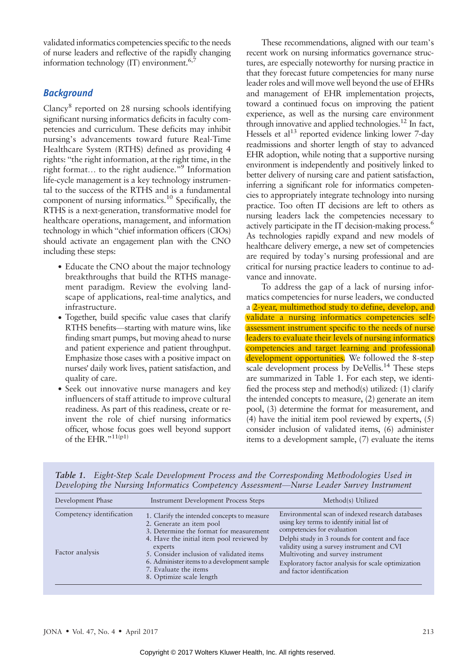validated informatics competencies specific to the needs of nurse leaders and reflective of the rapidly changing information technology  $(IT)$  environment.<sup>6,7</sup>

# **Background**

Clancy8 reported on 28 nursing schools identifying significant nursing informatics deficits in faculty competencies and curriculum. These deficits may inhibit nursing's advancements toward future Real-Time Healthcare System (RTHS) defined as providing 4 rights: "the right information, at the right time, in the right format... to the right audience."<sup>9</sup> Information life-cycle management is a key technology instrumental to the success of the RTHS and is a fundamental component of nursing informatics.10 Specifically, the RTHS is a next-generation, transformative model for healthcare operations, management, and information technology in which "chief information officers (CIOs) should activate an engagement plan with the CNO including these steps:

- Educate the CNO about the major technology breakthroughs that build the RTHS management paradigm. Review the evolving landscape of applications, real-time analytics, and infrastructure.
- Together, build specific value cases that clarify RTHS benefits—starting with mature wins, like finding smart pumps, but moving ahead to nurse and patient experience and patient throughput. Emphasize those cases with a positive impact on nurses" daily work lives, patient satisfaction, and quality of care.
- Seek out innovative nurse managers and key influencers of staff attitude to improve cultural readiness. As part of this readiness, create or reinvent the role of chief nursing informatics officer, whose focus goes well beyond support of the EHR." $^{11(p1)}$

These recommendations, aligned with our team's recent work on nursing informatics governance structures, are especially noteworthy for nursing practice in that they forecast future competencies for many nurse leader roles and will move well beyond the use of EHRs and management of EHR implementation projects, toward a continued focus on improving the patient experience, as well as the nursing care environment through innovative and applied technologies.<sup>12</sup> In fact, Hessels et al<sup>13</sup> reported evidence linking lower 7-day readmissions and shorter length of stay to advanced EHR adoption, while noting that a supportive nursing environment is independently and positively linked to better delivery of nursing care and patient satisfaction, inferring a significant role for informatics competencies to appropriately integrate technology into nursing practice. Too often IT decisions are left to others as nursing leaders lack the competencies necessary to actively participate in the IT decision-making process.<sup>6</sup> As technologies rapidly expand and new models of healthcare delivery emerge, a new set of competencies are required by today's nursing professional and are critical for nursing practice leaders to continue to advance and innovate.

To address the gap of a lack of nursing informatics competencies for nurse leaders, we conducted a 2-year, multimethod study to define, develop, and validate a nursing informatics competencies selfassessment instrument specific to the needs of nurse leaders to evaluate their levels of nursing informatics competencies and target learning and professional development opportunities. We followed the 8-step scale development process by DeVellis.<sup>14</sup> These steps are summarized in Table 1. For each step, we identified the process step and method(s) utilized: (1) clarify the intended concepts to measure, (2) generate an item pool, (3) determine the format for measurement, and (4) have the initial item pool reviewed by experts, (5) consider inclusion of validated items, (6) administer items to a development sample, (7) evaluate the items

| Development Phase<br><b>Instrument Development Process Steps</b><br>Method(s) Utilized<br>Competency identification<br>1. Clarify the intended concepts to measure<br>using key terms to identify initial list of<br>2. Generate an item pool<br>competencies for evaluation<br>3. Determine the format for measurement<br>Delphi study in 3 rounds for content and face<br>4. Have the initial item pool reviewed by |  |                                                                                                                                                      |
|-----------------------------------------------------------------------------------------------------------------------------------------------------------------------------------------------------------------------------------------------------------------------------------------------------------------------------------------------------------------------------------------------------------------------|--|------------------------------------------------------------------------------------------------------------------------------------------------------|
|                                                                                                                                                                                                                                                                                                                                                                                                                       |  |                                                                                                                                                      |
| experts<br>Factor analysis<br>Multivoting and survey instrument<br>5. Consider inclusion of validated items<br>6. Administer items to a development sample<br>7. Evaluate the items<br>and factor identification<br>8. Optimize scale length                                                                                                                                                                          |  | Environmental scan of indexed research databases<br>validity using a survey instrument and CVI<br>Exploratory factor analysis for scale optimization |

Table 1. Eight-Step Scale Development Process and the Corresponding Methodologies Used in Developing the Nursing Informatics Competency Assessment—Nurse Leader Survey Instrument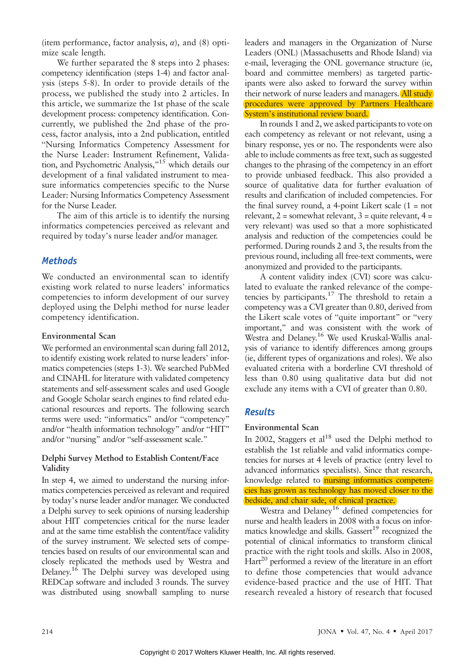(item performance, factor analysis,  $\alpha$ ), and (8) optimize scale length.

We further separated the 8 steps into 2 phases: competency identification (steps 1-4) and factor analysis (steps 5-8). In order to provide details of the process, we published the study into 2 articles. In this article, we summarize the 1st phase of the scale development process: competency identification. Concurrently, we published the 2nd phase of the process, factor analysis, into a 2nd publication, entitled "Nursing Informatics Competency Assessment for the Nurse Leader: Instrument Refinement, Validation, and Psychometric Analysis,"<sup>15</sup> which details our development of a final validated instrument to measure informatics competencies specific to the Nurse Leader: Nursing Informatics Competency Assessment for the Nurse Leader.

The aim of this article is to identify the nursing informatics competencies perceived as relevant and required by today's nurse leader and/or manager.

# **Methods**

We conducted an environmental scan to identify existing work related to nurse leaders' informatics competencies to inform development of our survey deployed using the Delphi method for nurse leader competency identification.

## Environmental Scan

We performed an environmental scan during fall 2012, to identify existing work related to nurse leaders' informatics competencies (steps 1-3). We searched PubMed and CINAHL for literature with validated competency statements and self-assessment scales and used Google and Google Scholar search engines to find related educational resources and reports. The following search terms were used: "informatics" and/or "competency" and/or "health information technology" and/or "HIT" and/or "nursing" and/or "self-assessment scale."

#### Delphi Survey Method to Establish Content/Face Validity

In step 4, we aimed to understand the nursing informatics competencies perceived as relevant and required by today's nurse leader and/or manager. We conducted a Delphi survey to seek opinions of nursing leadership about HIT competencies critical for the nurse leader and at the same time establish the content/face validity of the survey instrument. We selected sets of competencies based on results of our environmental scan and closely replicated the methods used by Westra and Delaney.16 The Delphi survey was developed using REDCap software and included 3 rounds. The survey was distributed using snowball sampling to nurse leaders and managers in the Organization of Nurse Leaders (ONL) (Massachusetts and Rhode Island) via e-mail, leveraging the ONL governance structure (ie, board and committee members) as targeted participants were also asked to forward the survey within their network of nurse leaders and managers. All study procedures were approved by Partners Healthcare System's institutional review board.

In rounds 1 and 2, we asked participants to vote on each competency as relevant or not relevant, using a binary response, yes or no. The respondents were also able to include comments as free text, such as suggested changes to the phrasing of the competency in an effort to provide unbiased feedback. This also provided a source of qualitative data for further evaluation of results and clarification of included competencies. For the final survey round, a 4-point Likert scale  $(1 = not$ relevant,  $2 =$  somewhat relevant,  $3 =$  quite relevant,  $4 =$ very relevant) was used so that a more sophisticated analysis and reduction of the competencies could be performed. During rounds 2 and 3, the results from the previous round, including all free-text comments, were anonymized and provided to the participants.

A content validity index (CVI) score was calculated to evaluate the ranked relevance of the competencies by participants.17 The threshold to retain a competency was a CVI greater than 0.80, derived from the Likert scale votes of "quite important" or "very important," and was consistent with the work of Westra and Delaney.<sup>16</sup> We used Kruskal-Wallis analysis of variance to identify differences among groups (ie, different types of organizations and roles). We also evaluated criteria with a borderline CVI threshold of less than 0.80 using qualitative data but did not exclude any items with a CVI of greater than 0.80.

# **Results**

## Environmental Scan

In 2002, Staggers et  $al^{18}$  used the Delphi method to establish the 1st reliable and valid informatics competencies for nurses at 4 levels of practice (entry level to advanced informatics specialists). Since that research, knowledge related to **nursing informatics competen**cies has grown as technology has moved closer to the bedside, and chair side, of clinical practice.

Westra and Delaney<sup>16</sup> defined competencies for nurse and health leaders in 2008 with a focus on informatics knowledge and skills. Gassert<sup>19</sup> recognized the potential of clinical informatics to transform clinical practice with the right tools and skills. Also in 2008, Hart<sup>20</sup> performed a review of the literature in an effort to define those competencies that would advance evidence-based practice and the use of HIT. That research revealed a history of research that focused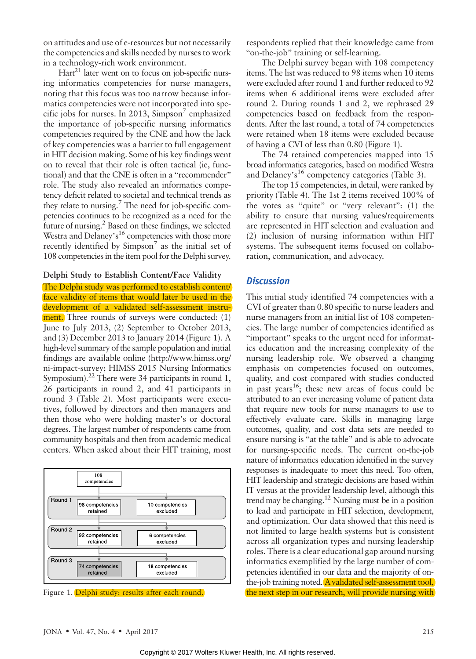on attitudes and use of e-resources but not necessarily the competencies and skills needed by nurses to work in a technology-rich work environment.

 $Hart<sup>21</sup>$  later went on to focus on job-specific nursing informatics competencies for nurse managers, noting that this focus was too narrow because informatics competencies were not incorporated into specific jobs for nurses. In 2013, Simpson<sup>7</sup> emphasized the importance of job-specific nursing informatics competencies required by the CNE and how the lack of key competencies was a barrier to full engagement in HIT decision making. Some of his key findings went on to reveal that their role is often tactical (ie, functional) and that the CNE is often in a "recommender" role. The study also revealed an informatics competency deficit related to societal and technical trends as they relate to nursing. $\frac{7}{7}$  The need for job-specific competencies continues to be recognized as a need for the future of nursing.2 Based on these findings, we selected Westra and Delaney's<sup>16</sup> competencies with those more recently identified by  $Simpson<sup>7</sup>$  as the initial set of 108 competencies in the item pool for the Delphi survey.

### Delphi Study to Establish Content/Face Validity

The Delphi study was performed to establish content/ face validity of items that would later be used in the development of a validated self-assessment instrument. Three rounds of surveys were conducted: (1) June to July 2013, (2) September to October 2013, and (3) December 2013 to January 2014 (Figure 1). A high-level summary of the sample population and initial findings are available online [\(http://www.himss.org/](http://www.himss.org/ni-impact-survey) [ni-impact-survey](http://www.himss.org/ni-impact-survey); HIMSS 2015 Nursing Informatics Symposium).<sup>22</sup> There were 34 participants in round 1, 26 participants in round 2, and 41 participants in round 3 (Table 2). Most participants were executives, followed by directors and then managers and then those who were holding master's or doctoral degrees. The largest number of respondents came from community hospitals and then from academic medical centers. When asked about their HIT training, most



respondents replied that their knowledge came from "on-the-job" training or self-learning.

The Delphi survey began with 108 competency items. The list was reduced to 98 items when 10 items were excluded after round 1 and further reduced to 92 items when 6 additional items were excluded after round 2. During rounds 1 and 2, we rephrased 29 competencies based on feedback from the respondents. After the last round, a total of 74 competencies were retained when 18 items were excluded because of having a CVI of less than 0.80 (Figure 1).

The 74 retained competencies mapped into 15 broad informatics categories, based on modified Westra and Delaney's<sup>16</sup> competency categories (Table 3).

The top 15 competencies, in detail, were ranked by priority (Table 4). The 1st 2 items received 100% of the votes as "quite" or "very relevant":  $(1)$  the ability to ensure that nursing values/requirements are represented in HIT selection and evaluation and (2) inclusion of nursing information within HIT systems. The subsequent items focused on collaboration, communication, and advocacy.

#### **Discussion**

This initial study identified 74 competencies with a CVI of greater than 0.80 specific to nurse leaders and nurse managers from an initial list of 108 competencies. The large number of competencies identified as "important" speaks to the urgent need for informatics education and the increasing complexity of the nursing leadership role. We observed a changing emphasis on competencies focused on outcomes, quality, and cost compared with studies conducted in past years<sup>16</sup>; these new areas of focus could be attributed to an ever increasing volume of patient data that require new tools for nurse managers to use to effectively evaluate care. Skills in managing large outcomes, quality, and cost data sets are needed to ensure nursing is "at the table" and is able to advocate for nursing-specific needs. The current on-the-job nature of informatics education identified in the survey responses is inadequate to meet this need. Too often, HIT leadership and strategic decisions are based within IT versus at the provider leadership level, although this trend may be changing.12 Nursing must be in a position to lead and participate in HIT selection, development, and optimization. Our data showed that this need is not limited to large health systems but is consistent across all organization types and nursing leadership roles. There is a clear educational gap around nursing informatics exemplified by the large number of competencies identified in our data and the majority of onthe-job training noted. Avalidated self-assessment tool, Figure 1. Delphi study: results after each round. the next step in our research, will provide nursing with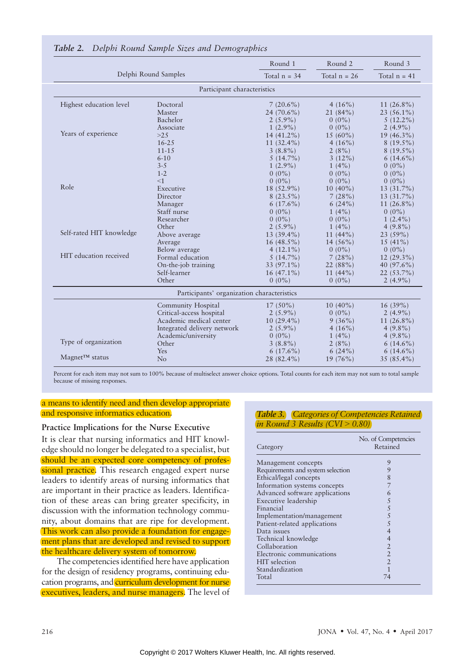|                                                    |                                            | Round 1        | Round 2        | Round 3        |  |
|----------------------------------------------------|--------------------------------------------|----------------|----------------|----------------|--|
| Delphi Round Samples                               |                                            | Total $n = 34$ | Total $n = 26$ | Total $n = 41$ |  |
|                                                    | Participant characteristics                |                |                |                |  |
| Highest education level                            | Doctoral                                   | $7(20.6\%)$    | $4(16\%)$      | $11(26.8\%)$   |  |
|                                                    | Master                                     | 24 $(70.6\%)$  | 21(84%)        | $23(56.1\%)$   |  |
|                                                    | Bachelor                                   | $2(5.9\%)$     | $0(0\%)$       | $5(12.2\%)$    |  |
|                                                    | Associate                                  | $1(2.9\%)$     | $0(0\%)$       | $2(4.9\%)$     |  |
| Years of experience                                | $>25$                                      | $14(41.2\%)$   | $15(60\%)$     | $19(46.3\%)$   |  |
| Role                                               | $16 - 25$                                  | 11 $(32.4\%)$  | $4(16\%)$      | $8(19.5\%)$    |  |
|                                                    | $11 - 15$                                  | $3(8.8\%)$     | 2(8%)          | $8(19.5\%)$    |  |
|                                                    | $6 - 10$                                   | $5(14.7\%)$    | $3(12\%)$      | $6(14.6\%)$    |  |
|                                                    | $3 - 5$                                    | $1(2.9\%)$     | $1(4\%)$       | $0(0\%)$       |  |
|                                                    | $1 - 2$                                    | $0(0\%)$       | $0(0\%)$       | $0(0\%)$       |  |
|                                                    | <1                                         | $0(0\%)$       | $0(0\%)$       | $0(0\%)$       |  |
|                                                    | Executive                                  | 18 (52.9%)     | $10(40\%)$     | 13 (31.7%)     |  |
|                                                    | Director                                   | $8(23.5\%)$    | 7(28%)         | $13(31.7\%)$   |  |
|                                                    | Manager                                    | $6(17.6\%)$    | 6(24%)         | $11(26.8\%)$   |  |
|                                                    | Staff nurse                                | $0(0\%)$       | $1(4\%)$       | $0(0\%)$       |  |
|                                                    | Researcher                                 | $0(0\%)$       | $0(0\%)$       | $1(2.4\%)$     |  |
|                                                    | Other                                      | $2(5.9\%)$     | $1(4\%)$       | $4(9.8\%)$     |  |
| Self-rated HIT knowledge<br>HIT education received | Above average                              | $13(39.4\%)$   | 11 $(44\%)$    | 23 (59%)       |  |
|                                                    | Average                                    | $16(48.5\%)$   | 14 $(56\%)$    | $15(41\%)$     |  |
|                                                    | Below average                              | $4(12.1\%)$    | $0(0\%)$       | $0(0\%)$       |  |
|                                                    | Formal education                           | $5(14.7\%)$    | 7(28%)         | $12(29.3\%)$   |  |
|                                                    | On-the-job training                        | 33 (97.1%)     | 22(88%)        | 40 $(97.6\%)$  |  |
|                                                    | Self-learner                               | $16(47.1\%)$   | 11 $(44\%)$    | $22(53.7\%)$   |  |
|                                                    | Other                                      | $0(0\%)$       | $0(0\%)$       | $2(4.9\%)$     |  |
|                                                    | Participants' organization characteristics |                |                |                |  |
|                                                    | Community Hospital                         | $17(50\%)$     | $10(40\%)$     | 16(39%)        |  |
|                                                    | Critical-access hospital                   | $2(5.9\%)$     | $0(0\%)$       | $2(4.9\%)$     |  |
|                                                    | Academic medical center                    | $10(29.4\%)$   | $9(36\%)$      | $11(26.8\%)$   |  |
|                                                    | Integrated delivery network                | $2(5.9\%)$     | $4(16\%)$      | $4(9.8\%)$     |  |
|                                                    | Academic/university                        | $0(0\%)$       | $1(4\%)$       | $4(9.8\%)$     |  |
| Type of organization                               | Other                                      | $3(8.8\%)$     | $2(8\%)$       | $6(14.6\%)$    |  |
|                                                    | Yes                                        | $6(17.6\%)$    | 6(24%)         | $6(14.6\%)$    |  |
| $Magnet^{TM}$ status                               | N <sub>o</sub>                             | 28 (82.4%)     | $19(76\%)$     | $35(85.4\%)$   |  |

#### Table 2. Delphi Round Sample Sizes and Demographics

Percent for each item may not sum to 100% because of multiselect answer choice options. Total counts for each item may not sum to total sample because of missing responses.

#### a means to identify need and then develop appropriate and responsive informatics education.

#### Practice Implications for the Nurse Executive

It is clear that nursing informatics and HIT knowledge should no longer be delegated to a specialist, but should be an expected core competency of professional practice. This research engaged expert nurse leaders to identify areas of nursing informatics that are important in their practice as leaders. Identification of these areas can bring greater specificity, in discussion with the information technology community, about domains that are ripe for development. This work can also provide a foundation for engagement plans that are developed and revised to support the healthcare delivery system of tomorrow.

The competencies identified here have application for the design of residency programs, continuing education programs, and curriculum development for nurse executives, leaders, and nurse managers. The level of

#### Table 3. Categories of Competencies Retained in Round 3 Results  $(CVI > 0.80)$

| Category                          | No. of Competencies<br>Retained |
|-----------------------------------|---------------------------------|
| Management concepts               | 9                               |
| Requirements and system selection | 9                               |
| Ethical/legal concepts            | 8                               |
| Information systems concepts      |                                 |
| Advanced software applications    | 6                               |
| Executive leadership              | 5                               |
| Financial                         | 5                               |
| Implementation/management         | 5                               |
| Patient-related applications      | 5                               |
| Data issues                       | $\overline{4}$                  |
| Technical knowledge               | 4                               |
| Collaboration                     | $\overline{2}$                  |
| Electronic communications         | $\overline{2}$                  |
| <b>HIT</b> selection              | $\overline{2}$                  |
| Standardization                   | 1                               |
| Total                             | 74                              |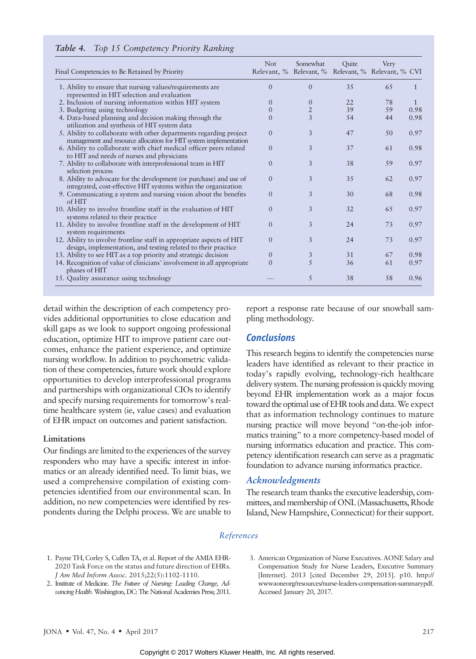| Final Competencies to Be Retained by Priority                                                                                          | <b>Not</b><br>Relevant, % Relevant, % Relevant, % Relevant, % CVI | Somewhat       | Quite | Very |              |
|----------------------------------------------------------------------------------------------------------------------------------------|-------------------------------------------------------------------|----------------|-------|------|--------------|
| 1. Ability to ensure that nursing values/requirements are<br>represented in HIT selection and evaluation                               | $\Omega$                                                          | $\Omega$       | 35    | 65   | $\mathbf{1}$ |
| 2. Inclusion of nursing information within HIT system                                                                                  | $\Omega$                                                          | $\theta$       | 22    | 78   |              |
| 3. Budgeting using technology                                                                                                          |                                                                   | $\overline{2}$ | 39    | 59   | 0.98         |
| 4. Data-based planning and decision making through the<br>utilization and synthesis of HIT system data                                 | 0                                                                 | 3              | .54   | 44   | 0.98         |
| 5. Ability to collaborate with other departments regarding project<br>management and resource allocation for HIT system implementation | $\Omega$                                                          | 3              | 47    | 50   | 0.97         |
| 6. Ability to collaborate with chief medical officer peers related<br>to HIT and needs of nurses and physicians                        | $\Omega$                                                          | 3              | 37    | 61   | 0.98         |
| 7. Ability to collaborate with interprofessional team in HIT<br>selection process                                                      | $\Omega$                                                          | 3              | 38    | 59   | 0.97         |
| 8. Ability to advocate for the development (or purchase) and use of<br>integrated, cost-effective HIT systems within the organization  | $\Omega$                                                          | 3              | 35    | 62   | 0.97         |
| 9. Communicating a system and nursing vision about the benefits<br>of HIT                                                              | $\Omega$                                                          | 3              | 30    | 68   | 0.98         |
| 10. Ability to involve frontline staff in the evaluation of HIT<br>systems related to their practice                                   | $\Omega$                                                          | 3              | 32    | 65   | 0.97         |
| 11. Ability to involve frontline staff in the development of HIT<br>system requirements                                                | $\Omega$                                                          | 3              | 24    | 73   | 0.97         |
| 12. Ability to involve frontline staff in appropriate aspects of HIT<br>design, implementation, and testing related to their practice  | $\Omega$                                                          | 3              | 24    | 73   | 0.97         |
| 13. Ability to see HIT as a top priority and strategic decision                                                                        | $\Omega$                                                          | 3              | 31    | 67   | 0.98         |
| 14. Recognition of value of clinicians' involvement in all appropriate<br>phases of HIT                                                | $\Omega$                                                          | $\overline{5}$ | 36    | 61   | 0.97         |
| 15. Quality assurance using technology                                                                                                 |                                                                   | 5              | 38    | 58   | 0.96         |

#### Table 4. Top 15 Competency Priority Ranking

detail within the description of each competency provides additional opportunities to close education and skill gaps as we look to support ongoing professional education, optimize HIT to improve patient care outcomes, enhance the patient experience, and optimize nursing workflow. In addition to psychometric validation of these competencies, future work should explore opportunities to develop interprofessional programs and partnerships with organizational CIOs to identify and specify nursing requirements for tomorrow's realtime healthcare system (ie, value cases) and evaluation of EHR impact on outcomes and patient satisfaction.

#### Limitations

Our findings are limited to the experiences of the survey responders who may have a specific interest in informatics or an already identified need. To limit bias, we used a comprehensive compilation of existing competencies identified from our environmental scan. In addition, no new competencies were identified by respondents during the Delphi process. We are unable to report a response rate because of our snowball sampling methodology.

## **Conclusions**

This research begins to identify the competencies nurse leaders have identified as relevant to their practice in today's rapidly evolving, technology-rich healthcare delivery system. The nursing profession is quickly moving beyond EHR implementation work as a major focus toward the optimal use of EHR tools and data. We expect that as information technology continues to mature nursing practice will move beyond "on-the-job informatics training" to a more competency-based model of nursing informatics education and practice. This competency identification research can serve as a pragmatic foundation to advance nursing informatics practice.

#### Acknowledgments

The research team thanks the executive leadership, committees, and membership of ONL (Massachusetts, Rhode Island, New Hampshire, Connecticut) for their support.

#### References

- 1. Payne TH, Corley S, Cullen TA, et al. Report of the AMIA EHR-2020 Task Force on the status and future direction of EHRs. J Am Med Inform Assoc. 2015;22(5):1102-1110.
- 2. Institute of Medicine. The Future of Nursing: Leading Change, Advancing Health. Washington, DC: The National Academies Press; 2011.
- 3. American Organization of Nurse Executives. AONE Salary and Compensation Study for Nurse Leaders, Executive Summary [Internet]. 2013 [cited December 29, 2015]. p10. [http://](http://wwwaoneorg/resources/nurse-leaders-compensation-summarypdf) [wwwaoneorg/resources/nurse-leaders-compensation-summarypdf.](http://wwwaoneorg/resources/nurse-leaders-compensation-summarypdf) Accessed January 20, 2017.